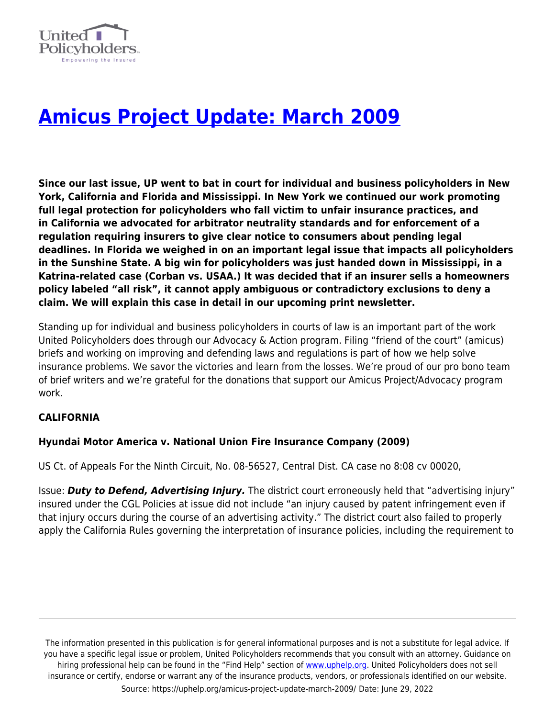

# **[Amicus Project Update: March 2009](https://uphelp.org/amicus-project-update-march-2009/)**

**Since our last issue, UP went to bat in court for individual and business policyholders in New York, California and Florida and Mississippi. In New York we continued our work promoting full legal protection for policyholders who fall victim to unfair insurance practices, and in California we advocated for arbitrator neutrality standards and for enforcement of a regulation requiring insurers to give clear notice to consumers about pending legal deadlines. In Florida we weighed in on an important legal issue that impacts all policyholders in the Sunshine State. A big win for policyholders was just handed down in Mississippi, in a Katrina-related case (Corban vs. USAA.) It was decided that if an insurer sells a homeowners policy labeled "all risk", it cannot apply ambiguous or contradictory exclusions to deny a claim. We will explain this case in detail in our upcoming print newsletter.**

Standing up for individual and business policyholders in courts of law is an important part of the work United Policyholders does through our Advocacy & Action program. Filing "friend of the court" (amicus) briefs and working on improving and defending laws and regulations is part of how we help solve insurance problems. We savor the victories and learn from the losses. We're proud of our pro bono team of brief writers and we're grateful for the donations that support our Amicus Project/Advocacy program work.

# **CALIFORNIA**

## **Hyundai Motor America v. National Union Fire Insurance Company (2009)**

US Ct. of Appeals For the Ninth Circuit, No. 08-56527, Central Dist. CA case no 8:08 cv 00020,

Issue: *Duty to Defend, Advertising Injury.* The district court erroneously held that "advertising injury" insured under the CGL Policies at issue did not include "an injury caused by patent infringement even if that injury occurs during the course of an advertising activity." The district court also failed to properly apply the California Rules governing the interpretation of insurance policies, including the requirement to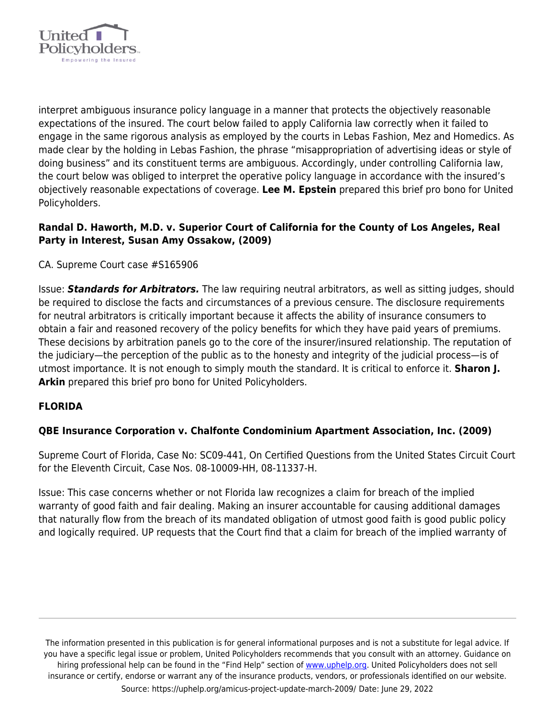

interpret ambiguous insurance policy language in a manner that protects the objectively reasonable expectations of the insured. The court below failed to apply California law correctly when it failed to engage in the same rigorous analysis as employed by the courts in Lebas Fashion, Mez and Homedics. As made clear by the holding in Lebas Fashion, the phrase "misappropriation of advertising ideas or style of doing business" and its constituent terms are ambiguous. Accordingly, under controlling California law, the court below was obliged to interpret the operative policy language in accordance with the insured's objectively reasonable expectations of coverage. **Lee M. Epstein** prepared this brief pro bono for United Policyholders.

# **Randal D. Haworth, M.D. v. Superior Court of California for the County of Los Angeles, Real Party in Interest, Susan Amy Ossakow, (2009)**

# CA. Supreme Court case #S165906

Issue: *Standards for Arbitrators.* The law requiring neutral arbitrators, as well as sitting judges, should be required to disclose the facts and circumstances of a previous censure. The disclosure requirements for neutral arbitrators is critically important because it affects the ability of insurance consumers to obtain a fair and reasoned recovery of the policy benefits for which they have paid years of premiums. These decisions by arbitration panels go to the core of the insurer/insured relationship. The reputation of the judiciary—the perception of the public as to the honesty and integrity of the judicial process—is of utmost importance. It is not enough to simply mouth the standard. It is critical to enforce it. **Sharon J. Arkin** prepared this brief pro bono for United Policyholders.

## **FLORIDA**

## **QBE Insurance Corporation v. Chalfonte Condominium Apartment Association, Inc. (2009)**

Supreme Court of Florida, Case No: SC09-441, On Certified Questions from the United States Circuit Court for the Eleventh Circuit, Case Nos. 08-10009-HH, 08-11337-H.

Issue: This case concerns whether or not Florida law recognizes a claim for breach of the implied warranty of good faith and fair dealing. Making an insurer accountable for causing additional damages that naturally flow from the breach of its mandated obligation of utmost good faith is good public policy and logically required. UP requests that the Court find that a claim for breach of the implied warranty of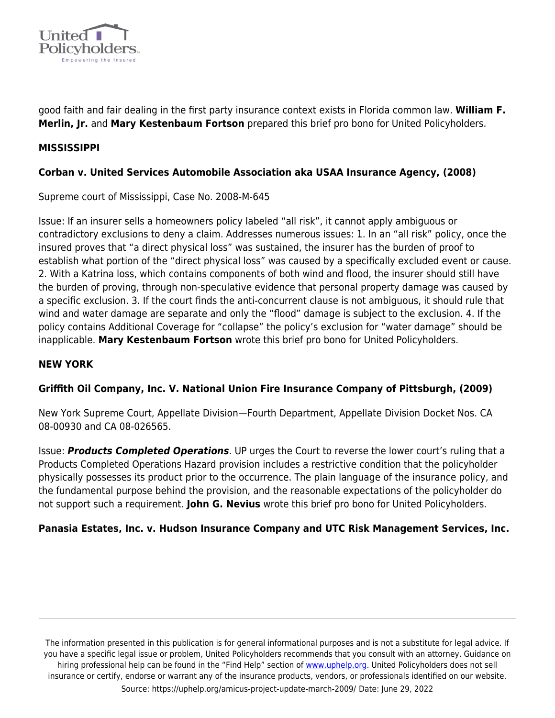

good faith and fair dealing in the first party insurance context exists in Florida common law. **William F. Merlin, Jr.** and **Mary Kestenbaum Fortson** prepared this brief pro bono for United Policyholders.

## **MISSISSIPPI**

# **Corban v. United Services Automobile Association aka USAA Insurance Agency, (2008)**

Supreme court of Mississippi, Case No. 2008-M-645

Issue: If an insurer sells a homeowners policy labeled "all risk", it cannot apply ambiguous or contradictory exclusions to deny a claim. Addresses numerous issues: 1. In an "all risk" policy, once the insured proves that "a direct physical loss" was sustained, the insurer has the burden of proof to establish what portion of the "direct physical loss" was caused by a specifically excluded event or cause. 2. With a Katrina loss, which contains components of both wind and flood, the insurer should still have the burden of proving, through non-speculative evidence that personal property damage was caused by a specific exclusion. 3. If the court finds the anti-concurrent clause is not ambiguous, it should rule that wind and water damage are separate and only the "flood" damage is subject to the exclusion. 4. If the policy contains Additional Coverage for "collapse" the policy's exclusion for "water damage" should be inapplicable. **Mary Kestenbaum Fortson** wrote this brief pro bono for United Policyholders.

## **NEW YORK**

## **Griffith Oil Company, Inc. V. National Union Fire Insurance Company of Pittsburgh, (2009)**

New York Supreme Court, Appellate Division—Fourth Department, Appellate Division Docket Nos. CA 08-00930 and CA 08-026565.

Issue: *Products Completed Operations*. UP urges the Court to reverse the lower court's ruling that a Products Completed Operations Hazard provision includes a restrictive condition that the policyholder physically possesses its product prior to the occurrence. The plain language of the insurance policy, and the fundamental purpose behind the provision, and the reasonable expectations of the policyholder do not support such a requirement. **John G. Nevius** wrote this brief pro bono for United Policyholders.

## **Panasia Estates, Inc. v. Hudson Insurance Company and UTC Risk Management Services, Inc.**